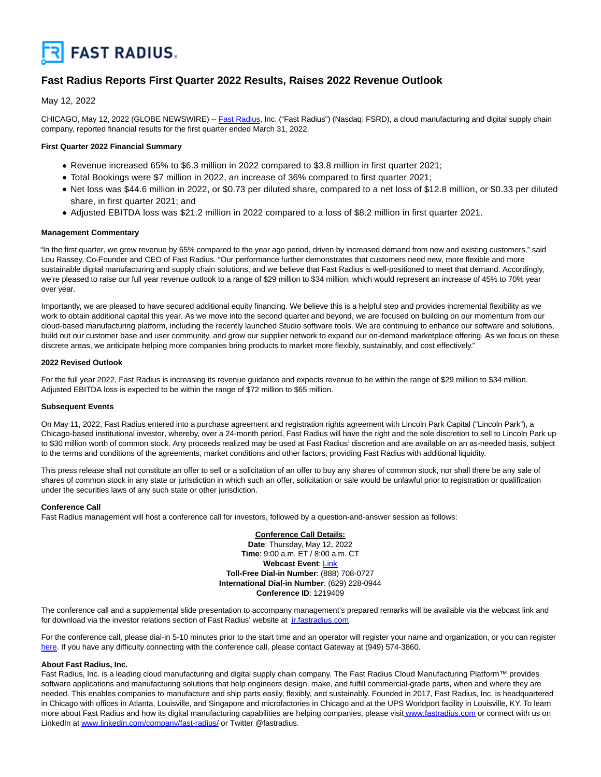

# **Fast Radius Reports First Quarter 2022 Results, Raises 2022 Revenue Outlook**

May 12, 2022

CHICAGO, May 12, 2022 (GLOBE NEWSWIRE) -- [Fast Radius,](https://www.globenewswire.com/Tracker?data=g0siyZXZrPewOlbBuM3LPbiyzsKXsSIb0yrNPHVhyi8XxhwwP4oIwpMMI-yErCY8gVqWPYV06y8imaNDjHJeAQ==) Inc. ("Fast Radius") (Nasdaq: FSRD), a cloud manufacturing and digital supply chain company, reported financial results for the first quarter ended March 31, 2022.

# **First Quarter 2022 Financial Summary**

- Revenue increased 65% to \$6.3 million in 2022 compared to \$3.8 million in first quarter 2021;
- Total Bookings were \$7 million in 2022, an increase of 36% compared to first quarter 2021;
- Net loss was \$44.6 million in 2022, or \$0.73 per diluted share, compared to a net loss of \$12.8 million, or \$0.33 per diluted share, in first quarter 2021; and
- Adjusted EBITDA loss was \$21.2 million in 2022 compared to a loss of \$8.2 million in first quarter 2021.

## **Management Commentary**

"In the first quarter, we grew revenue by 65% compared to the year ago period, driven by increased demand from new and existing customers," said Lou Rassey, Co-Founder and CEO of Fast Radius. "Our performance further demonstrates that customers need new, more flexible and more sustainable digital manufacturing and supply chain solutions, and we believe that Fast Radius is well-positioned to meet that demand. Accordingly, we're pleased to raise our full year revenue outlook to a range of \$29 million to \$34 million, which would represent an increase of 45% to 70% year over year.

Importantly, we are pleased to have secured additional equity financing. We believe this is a helpful step and provides incremental flexibility as we work to obtain additional capital this year. As we move into the second quarter and beyond, we are focused on building on our momentum from our cloud-based manufacturing platform, including the recently launched Studio software tools. We are continuing to enhance our software and solutions, build out our customer base and user community, and grow our supplier network to expand our on-demand marketplace offering. As we focus on these discrete areas, we anticipate helping more companies bring products to market more flexibly, sustainably, and cost effectively."

## **2022 Revised Outlook**

For the full year 2022, Fast Radius is increasing its revenue guidance and expects revenue to be within the range of \$29 million to \$34 million. Adjusted EBITDA loss is expected to be within the range of \$72 million to \$65 million.

#### **Subsequent Events**

On May 11, 2022, Fast Radius entered into a purchase agreement and registration rights agreement with Lincoln Park Capital ("Lincoln Park"), a Chicago-based institutional investor, whereby, over a 24-month period, Fast Radius will have the right and the sole discretion to sell to Lincoln Park up to \$30 million worth of common stock. Any proceeds realized may be used at Fast Radius' discretion and are available on an as-needed basis, subject to the terms and conditions of the agreements, market conditions and other factors, providing Fast Radius with additional liquidity.

This press release shall not constitute an offer to sell or a solicitation of an offer to buy any shares of common stock, nor shall there be any sale of shares of common stock in any state or jurisdiction in which such an offer, solicitation or sale would be unlawful prior to registration or qualification under the securities laws of any such state or other jurisdiction.

#### **Conference Call**

Fast Radius management will host a conference call for investors, followed by a question-and-answer session as follows:

**Conference Call Details: Date**: Thursday, May 12, 2022 **Time**: 9:00 a.m. ET / 8:00 a.m. CT **Webcast Event**[: Link](https://www.globenewswire.com/Tracker?data=t7qIp8VPGJubUGNnpBEryK9oW9d2yrFGG6C77A8GkG8lNXAMmwz0WxJyS6rtYI7WHm17MH7losPagYfWHycARSprQ8aB4NVwJ6iKBOyUXk8=) **Toll-Free Dial-in Number**: (888) 708-0727 **International Dial-in Number**: (629) 228-0944 **Conference ID**: 1219409

The conference call and a supplemental slide presentation to accompany management's prepared remarks will be available via the webcast link and for download via the investor relations section of Fast Radius' website at [ir.fastradius.com.](https://www.globenewswire.com/Tracker?data=w65X00zgaZbJEwGDA_kJvuL67-nXezXOsH98AlW-Fmk82iaelyNcoF5DniS5100dfGqizFQdiTUex5DBMjQPEwKTIGEgPrKl81N7HcIK-oo=)

For the conference call, please dial-in 5-10 minutes prior to the start time and an operator will register your name and organization, or you can register [here.](https://www.globenewswire.com/Tracker?data=RVhsGwHR7BL7V322vlmKFYcJOMPV9RVWDfENCqMUpV4BVVl3GVKmwzN0eKTiZrbrtQPN1w2ab2zf9PNghU11-BgqKAW6JZcOVwMQKtcQdzE=) If you have any difficulty connecting with the conference call, please contact Gateway at (949) 574-3860.

# **About Fast Radius, Inc.**

Fast Radius, Inc. is a leading cloud manufacturing and digital supply chain company. The Fast Radius Cloud Manufacturing Platform™ provides software applications and manufacturing solutions that help engineers design, make, and fulfill commercial-grade parts, when and where they are needed. This enables companies to manufacture and ship parts easily, flexibly, and sustainably. Founded in 2017, Fast Radius, Inc. is headquartered in Chicago with offices in Atlanta, Louisville, and Singapore and microfactories in Chicago and at the UPS Worldport facility in Louisville, KY. To learn more about Fast Radius and how its digital manufacturing capabilities are helping companies, please visit [www.fastradius.com o](https://www.globenewswire.com/Tracker?data=xplSlN5h3eLEqS_qjDbtJNif_-VPLn0eggI-xSBk47Wbf9KatPUcQvM1nHnpb0bxOBBUqt5IVRBzZ41ScC6MPawe59chspPteG6VdaLUQ3U=)r connect with us on LinkedIn at [www.linkedin.com/company/fast-radius/ o](https://www.globenewswire.com/Tracker?data=FoziJIuqh30NGPyi0gb7D6lLrH2kKgotGjr40nnimVnHJ4PEnqZbfpVNFCV3z-c5JNJBqvFehoCNejwWef0eNByTHGahKVq6CAz4cBQStpMYElF2UPIuxUsjctzm74gmlHD2ZBQGQ8osqMtiQS-Zeg==)r Twitter @fastradius.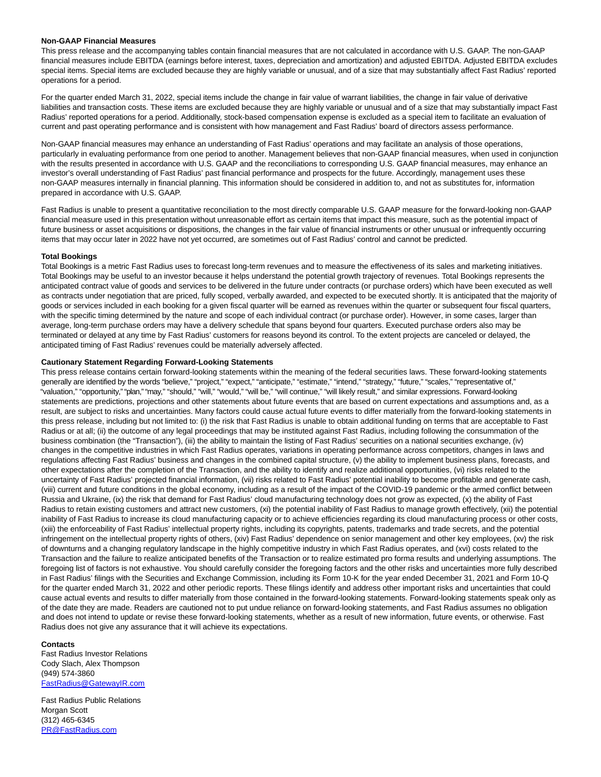#### **Non-GAAP Financial Measures**

This press release and the accompanying tables contain financial measures that are not calculated in accordance with U.S. GAAP. The non-GAAP financial measures include EBITDA (earnings before interest, taxes, depreciation and amortization) and adjusted EBITDA. Adjusted EBITDA excludes special items. Special items are excluded because they are highly variable or unusual, and of a size that may substantially affect Fast Radius' reported operations for a period.

For the quarter ended March 31, 2022, special items include the change in fair value of warrant liabilities, the change in fair value of derivative liabilities and transaction costs. These items are excluded because they are highly variable or unusual and of a size that may substantially impact Fast Radius' reported operations for a period. Additionally, stock-based compensation expense is excluded as a special item to facilitate an evaluation of current and past operating performance and is consistent with how management and Fast Radius' board of directors assess performance.

Non-GAAP financial measures may enhance an understanding of Fast Radius' operations and may facilitate an analysis of those operations, particularly in evaluating performance from one period to another. Management believes that non-GAAP financial measures, when used in conjunction with the results presented in accordance with U.S. GAAP and the reconciliations to corresponding U.S. GAAP financial measures, may enhance an investor's overall understanding of Fast Radius' past financial performance and prospects for the future. Accordingly, management uses these non-GAAP measures internally in financial planning. This information should be considered in addition to, and not as substitutes for, information prepared in accordance with U.S. GAAP.

Fast Radius is unable to present a quantitative reconciliation to the most directly comparable U.S. GAAP measure for the forward-looking non-GAAP financial measure used in this presentation without unreasonable effort as certain items that impact this measure, such as the potential impact of future business or asset acquisitions or dispositions, the changes in the fair value of financial instruments or other unusual or infrequently occurring items that may occur later in 2022 have not yet occurred, are sometimes out of Fast Radius' control and cannot be predicted.

## **Total Bookings**

Total Bookings is a metric Fast Radius uses to forecast long-term revenues and to measure the effectiveness of its sales and marketing initiatives. Total Bookings may be useful to an investor because it helps understand the potential growth trajectory of revenues. Total Bookings represents the anticipated contract value of goods and services to be delivered in the future under contracts (or purchase orders) which have been executed as well as contracts under negotiation that are priced, fully scoped, verbally awarded, and expected to be executed shortly. It is anticipated that the majority of goods or services included in each booking for a given fiscal quarter will be earned as revenues within the quarter or subsequent four fiscal quarters, with the specific timing determined by the nature and scope of each individual contract (or purchase order). However, in some cases, larger than average, long-term purchase orders may have a delivery schedule that spans beyond four quarters. Executed purchase orders also may be terminated or delayed at any time by Fast Radius' customers for reasons beyond its control. To the extent projects are canceled or delayed, the anticipated timing of Fast Radius' revenues could be materially adversely affected.

## **Cautionary Statement Regarding Forward-Looking Statements**

This press release contains certain forward-looking statements within the meaning of the federal securities laws. These forward-looking statements generally are identified by the words "believe," "project," "expect," "anticipate," "estimate," "intend," "strategy," "future," "scales," "representative of," "valuation," "opportunity," "plan," "may," "should," "will," "would," "will be," "will continue," "will likely result," and similar expressions. Forward-looking statements are predictions, projections and other statements about future events that are based on current expectations and assumptions and, as a result, are subject to risks and uncertainties. Many factors could cause actual future events to differ materially from the forward-looking statements in this press release, including but not limited to: (i) the risk that Fast Radius is unable to obtain additional funding on terms that are acceptable to Fast Radius or at all; (ii) the outcome of any legal proceedings that may be instituted against Fast Radius, including following the consummation of the business combination (the "Transaction"), (iii) the ability to maintain the listing of Fast Radius' securities on a national securities exchange, (iv) changes in the competitive industries in which Fast Radius operates, variations in operating performance across competitors, changes in laws and regulations affecting Fast Radius' business and changes in the combined capital structure, (v) the ability to implement business plans, forecasts, and other expectations after the completion of the Transaction, and the ability to identify and realize additional opportunities, (vi) risks related to the uncertainty of Fast Radius' projected financial information, (vii) risks related to Fast Radius' potential inability to become profitable and generate cash, (viii) current and future conditions in the global economy, including as a result of the impact of the COVID-19 pandemic or the armed conflict between Russia and Ukraine, (ix) the risk that demand for Fast Radius' cloud manufacturing technology does not grow as expected, (x) the ability of Fast Radius to retain existing customers and attract new customers, (xi) the potential inability of Fast Radius to manage growth effectively, (xii) the potential inability of Fast Radius to increase its cloud manufacturing capacity or to achieve efficiencies regarding its cloud manufacturing process or other costs, (xiii) the enforceability of Fast Radius' intellectual property rights, including its copyrights, patents, trademarks and trade secrets, and the potential infringement on the intellectual property rights of others, (xiv) Fast Radius' dependence on senior management and other key employees, (xv) the risk of downturns and a changing regulatory landscape in the highly competitive industry in which Fast Radius operates, and (xvi) costs related to the Transaction and the failure to realize anticipated benefits of the Transaction or to realize estimated pro forma results and underlying assumptions. The foregoing list of factors is not exhaustive. You should carefully consider the foregoing factors and the other risks and uncertainties more fully described in Fast Radius' filings with the Securities and Exchange Commission, including its Form 10-K for the year ended December 31, 2021 and Form 10-Q for the quarter ended March 31, 2022 and other periodic reports. These filings identify and address other important risks and uncertainties that could cause actual events and results to differ materially from those contained in the forward-looking statements. Forward-looking statements speak only as of the date they are made. Readers are cautioned not to put undue reliance on forward-looking statements, and Fast Radius assumes no obligation and does not intend to update or revise these forward-looking statements, whether as a result of new information, future events, or otherwise. Fast Radius does not give any assurance that it will achieve its expectations.

#### **Contacts**

Fast Radius Investor Relations Cody Slach, Alex Thompson (949) 574-3860 [FastRadius@GatewayIR.com](https://www.globenewswire.com/Tracker?data=amnPtHk1xuFOVcdHXU8g7RKhZun4sYOr5vsoSbuyme7fkcumbmgmHXXFGIBlXafhfROaWW-hXtgWUReMEXFwEuovlvOeWWUB0eakkdGFKMY=) 

Fast Radius Public Relations Morgan Scott (312) 465-6345 [PR@FastRadius.com](https://www.globenewswire.com/Tracker?data=po7zZDBucrtZWAi0VPS6QZXaPNZs6s4z2EFjnzisr9zIKOdmUIKYwzL6IZztlSc8zoJ-HV4hTMJY7OmeUgIxmg==)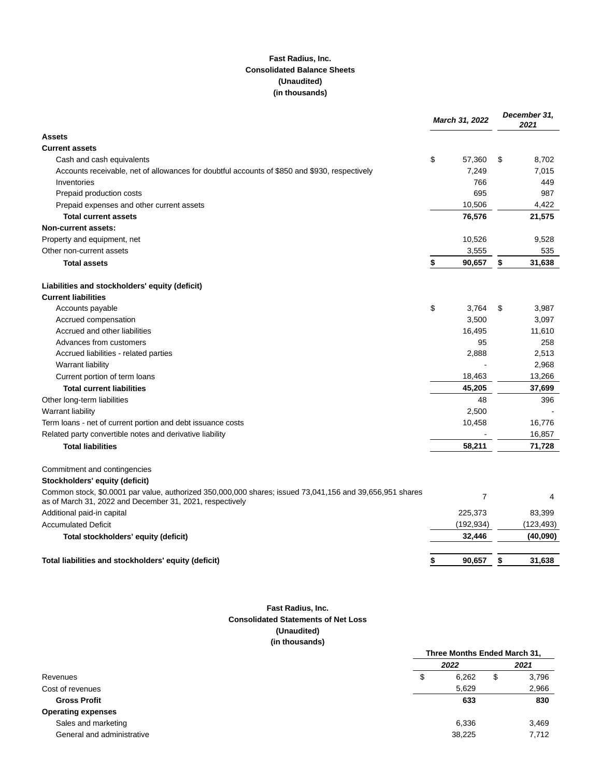# **Fast Radius, Inc. Consolidated Balance Sheets (Unaudited) (in thousands)**

|                                                                                                                                                                      | March 31, 2022 |            | December 31,<br>2021 |            |
|----------------------------------------------------------------------------------------------------------------------------------------------------------------------|----------------|------------|----------------------|------------|
| <b>Assets</b>                                                                                                                                                        |                |            |                      |            |
| <b>Current assets</b>                                                                                                                                                |                |            |                      |            |
| Cash and cash equivalents                                                                                                                                            | \$             | 57,360     | \$                   | 8,702      |
| Accounts receivable, net of allowances for doubtful accounts of \$850 and \$930, respectively                                                                        |                | 7,249      |                      | 7,015      |
| Inventories                                                                                                                                                          |                | 766        |                      | 449        |
| Prepaid production costs                                                                                                                                             |                | 695        |                      | 987        |
| Prepaid expenses and other current assets                                                                                                                            |                | 10,506     |                      | 4,422      |
| <b>Total current assets</b>                                                                                                                                          |                | 76,576     |                      | 21,575     |
| <b>Non-current assets:</b>                                                                                                                                           |                |            |                      |            |
| Property and equipment, net                                                                                                                                          |                | 10,526     |                      | 9,528      |
| Other non-current assets                                                                                                                                             |                | 3,555      |                      | 535        |
| <b>Total assets</b>                                                                                                                                                  | \$             | 90,657     | \$                   | 31,638     |
| Liabilities and stockholders' equity (deficit)                                                                                                                       |                |            |                      |            |
| <b>Current liabilities</b>                                                                                                                                           |                |            |                      |            |
| Accounts payable                                                                                                                                                     | \$             | 3,764      | S                    | 3,987      |
| Accrued compensation                                                                                                                                                 |                | 3,500      |                      | 3,097      |
| Accrued and other liabilities                                                                                                                                        |                | 16,495     |                      | 11,610     |
| Advances from customers                                                                                                                                              |                | 95         |                      | 258        |
| Accrued liabilities - related parties                                                                                                                                |                | 2,888      |                      | 2,513      |
| Warrant liability                                                                                                                                                    |                |            |                      | 2,968      |
| Current portion of term loans                                                                                                                                        |                | 18,463     |                      | 13,266     |
| <b>Total current liabilities</b>                                                                                                                                     |                | 45,205     |                      | 37,699     |
| Other long-term liabilities                                                                                                                                          |                | 48         |                      | 396        |
| Warrant liability                                                                                                                                                    |                | 2,500      |                      |            |
| Term loans - net of current portion and debt issuance costs                                                                                                          |                | 10,458     |                      | 16,776     |
| Related party convertible notes and derivative liability                                                                                                             |                |            |                      | 16,857     |
| <b>Total liabilities</b>                                                                                                                                             |                | 58,211     |                      | 71,728     |
| Commitment and contingencies                                                                                                                                         |                |            |                      |            |
| Stockholders' equity (deficit)                                                                                                                                       |                |            |                      |            |
| Common stock, \$0.0001 par value, authorized 350,000,000 shares; issued 73,041,156 and 39,656,951 shares<br>as of March 31, 2022 and December 31, 2021, respectively |                | 7          |                      | 4          |
| Additional paid-in capital                                                                                                                                           |                | 225,373    |                      | 83,399     |
| <b>Accumulated Deficit</b>                                                                                                                                           |                | (192, 934) |                      | (123, 493) |
| Total stockholders' equity (deficit)                                                                                                                                 |                | 32.446     |                      | (40,090)   |
| Total liabilities and stockholders' equity (deficit)                                                                                                                 | \$             | 90,657     | \$                   | 31,638     |
|                                                                                                                                                                      |                |            |                      |            |

# **Fast Radius, Inc. Consolidated Statements of Net Loss (Unaudited) (in thousands)**

|                            | Three Months Ended March 31, |        |    |       |
|----------------------------|------------------------------|--------|----|-------|
|                            |                              | 2022   |    | 2021  |
| Revenues                   | \$                           | 6,262  | \$ | 3,796 |
| Cost of revenues           |                              | 5.629  |    | 2,966 |
| <b>Gross Profit</b>        |                              | 633    |    | 830   |
| <b>Operating expenses</b>  |                              |        |    |       |
| Sales and marketing        |                              | 6,336  |    | 3,469 |
| General and administrative |                              | 38,225 |    | 7,712 |